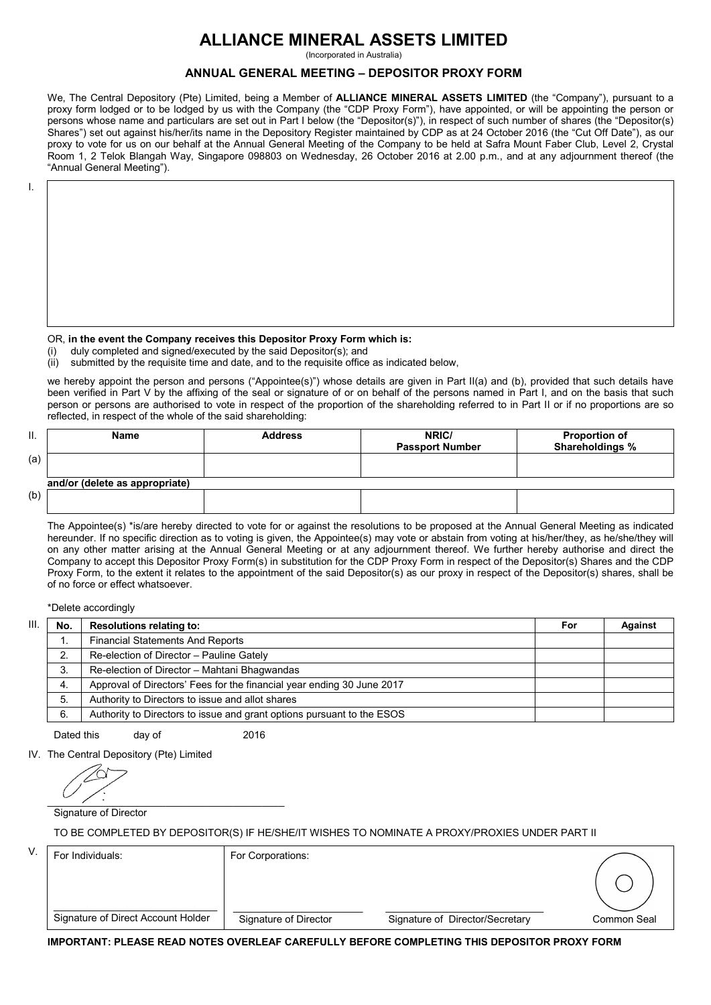# **ALLIANCE MINERAL ASSETS LIMITED**

(Incorporated in Australia)

## **ANNUAL GENERAL MEETING – DEPOSITOR PROXY FORM**

 We, The Central Depository (Pte) Limited, being a Member of **ALLIANCE MINERAL ASSETS LIMITED** (the "Company"), pursuant to a proxy form lodged or to be lodged by us with the Company (the "CDP Proxy Form"), have appointed, or will be appointing the person or persons whose name and particulars are set out in Part I below (the "Depositor(s)"), in respect of such number of shares (the "Depositor(s) Shares") set out against his/her/its name in the Depository Register maintained by CDP as at 24 October 2016 (the "Cut Off Date"), as our proxy to vote for us on our behalf at the Annual General Meeting of the Company to be held at Safra Mount Faber Club, Level 2, Crystal Room 1, 2 Telok Blangah Way, Singapore 098803 on Wednesday, 26 October 2016 at 2.00 p.m., and at any adjournment thereof (the "Annual General Meeting").

I.

#### OR, **in the event the Company receives this Depositor Proxy Form which is:**

(i) duly completed and signed/executed by the said Depositor(s); and

(ii) submitted by the requisite time and date, and to the requisite office as indicated below,

we hereby appoint the person and persons ("Appointee(s)") whose details are given in Part II(a) and (b), provided that such details have been verified in Part V by the affixing of the seal or signature of or on behalf of the persons named in Part I, and on the basis that such person or persons are authorised to vote in respect of the proportion of the shareholding referred to in Part II or if no proportions are so reflected, in respect of the whole of the said shareholding:

| Π.  | Name                           | <b>Address</b> | NRIC/<br><b>Passport Number</b> | <b>Proportion of</b><br>Shareholdings % |
|-----|--------------------------------|----------------|---------------------------------|-----------------------------------------|
| (a) |                                |                |                                 |                                         |
|     | and/or (delete as appropriate) |                |                                 |                                         |
| (b) |                                |                |                                 |                                         |

 The Appointee(s) \*is/are hereby directed to vote for or against the resolutions to be proposed at the Annual General Meeting as indicated hereunder. If no specific direction as to voting is given, the Appointee(s) may vote or abstain from voting at his/her/they, as he/she/they will on any other matter arising at the Annual General Meeting or at any adjournment thereof. We further hereby authorise and direct the Company to accept this Depositor Proxy Form(s) in substitution for the CDP Proxy Form in respect of the Depositor(s) Shares and the CDP Proxy Form, to the extent it relates to the appointment of the said Depositor(s) as our proxy in respect of the Depositor(s) shares, shall be of no force or effect whatsoever.

\*Delete accordingly

| Ш | No. | <b>Resolutions relating to:</b>                                        | For | Against |
|---|-----|------------------------------------------------------------------------|-----|---------|
|   |     | <b>Financial Statements And Reports</b>                                |     |         |
|   |     | Re-election of Director - Pauline Gately                               |     |         |
|   |     | Re-election of Director - Mahtani Bhagwandas                           |     |         |
|   | 4.  | Approval of Directors' Fees for the financial year ending 30 June 2017 |     |         |
|   | 5.  | Authority to Directors to issue and allot shares                       |     |         |
|   | 6.  | Authority to Directors to issue and grant options pursuant to the ESOS |     |         |

Dated this day of 2016

IV. The Central Depository (Pte) Limited

 $\overline{\mathcal{L}}$  ,  $\overline{\mathcal{L}}$  ,  $\overline{\mathcal{L}}$  ,  $\overline{\mathcal{L}}$  ,  $\overline{\mathcal{L}}$  ,  $\overline{\mathcal{L}}$  ,  $\overline{\mathcal{L}}$  ,  $\overline{\mathcal{L}}$  ,  $\overline{\mathcal{L}}$  ,  $\overline{\mathcal{L}}$  ,  $\overline{\mathcal{L}}$  ,  $\overline{\mathcal{L}}$  ,  $\overline{\mathcal{L}}$  ,  $\overline{\mathcal{L}}$  ,  $\overline{\mathcal{L}}$  ,  $\overline{\mathcal{L}}$ 

Signature of Director

TO BE COMPLETED BY DEPOSITOR(S) IF HE/SHE/IT WISHES TO NOMINATE A PROXY/PROXIES UNDER PART II

| V. | For Individuals:                   | For Corporations:     |                                 |             |
|----|------------------------------------|-----------------------|---------------------------------|-------------|
|    |                                    |                       |                                 |             |
|    | Signature of Direct Account Holder | Signature of Director | Signature of Director/Secretary | Common Seal |
|    |                                    |                       |                                 |             |

**IMPORTANT: PLEASE READ NOTES OVERLEAF CAREFULLY BEFORE COMPLETING THIS DEPOSITOR PROXY FORM**